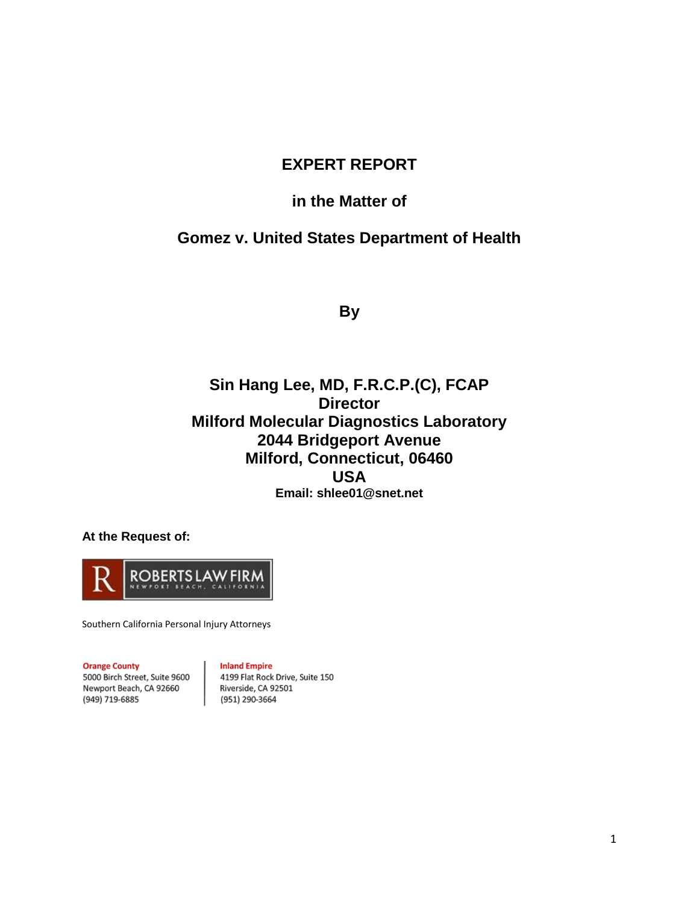# **EXPERT REPORT**

## **in the Matter of**

# **Gomez v. United States Department of Health**

**By** 

# **Sin Hang Lee, MD, F.R.C.P.(C), FCAP Director Milford Molecular Diagnostics Laboratory 2044 Bridgeport Avenue Milford, Connecticut, 06460 USA Email: [shlee01@snet.net](mailto:shlee01@snet.net)**

**At the Request of:**



Southern California Personal Injury Attorneys

#### **Orange County**

**Inland Empire** 

5000 Birch Street, Suite 9600 Newport Beach, CA 92660 (949) 719-6885

4199 Flat Rock Drive, Suite 150 Riverside, CA 92501 (951) 290-3664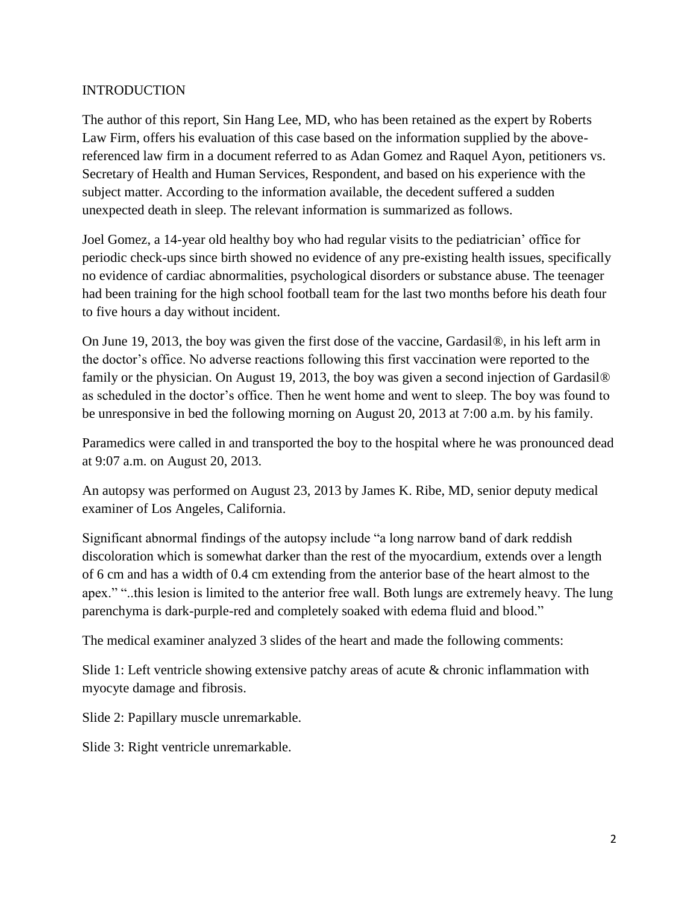#### INTRODUCTION

The author of this report, Sin Hang Lee, MD, who has been retained as the expert by Roberts Law Firm, offers his evaluation of this case based on the information supplied by the abovereferenced law firm in a document referred to as Adan Gomez and Raquel Ayon, petitioners vs. Secretary of Health and Human Services, Respondent, and based on his experience with the subject matter. According to the information available, the decedent suffered a sudden unexpected death in sleep. The relevant information is summarized as follows.

Joel Gomez, a 14-year old healthy boy who had regular visits to the pediatrician' office for periodic check-ups since birth showed no evidence of any pre-existing health issues, specifically no evidence of cardiac abnormalities, psychological disorders or substance abuse. The teenager had been training for the high school football team for the last two months before his death four to five hours a day without incident.

On June 19, 2013, the boy was given the first dose of the vaccine, Gardasil®, in his left arm in the doctor's office. No adverse reactions following this first vaccination were reported to the family or the physician. On August 19, 2013, the boy was given a second injection of Gardasil<sup>®</sup> as scheduled in the doctor's office. Then he went home and went to sleep. The boy was found to be unresponsive in bed the following morning on August 20, 2013 at 7:00 a.m. by his family.

Paramedics were called in and transported the boy to the hospital where he was pronounced dead at 9:07 a.m. on August 20, 2013.

An autopsy was performed on August 23, 2013 by James K. Ribe, MD, senior deputy medical examiner of Los Angeles, California.

Significant abnormal findings of the autopsy include "a long narrow band of dark reddish discoloration which is somewhat darker than the rest of the myocardium, extends over a length of 6 cm and has a width of 0.4 cm extending from the anterior base of the heart almost to the apex." "..this lesion is limited to the anterior free wall. Both lungs are extremely heavy. The lung parenchyma is dark-purple-red and completely soaked with edema fluid and blood."

The medical examiner analyzed 3 slides of the heart and made the following comments:

Slide 1: Left ventricle showing extensive patchy areas of acute & chronic inflammation with myocyte damage and fibrosis.

Slide 2: Papillary muscle unremarkable.

Slide 3: Right ventricle unremarkable.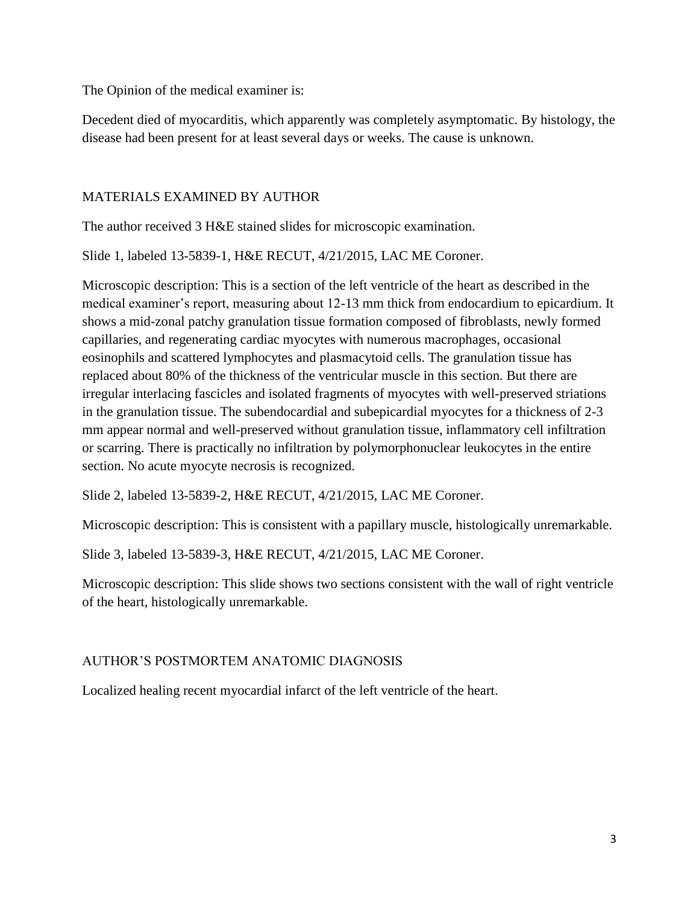The Opinion of the medical examiner is:

Decedent died of myocarditis, which apparently was completely asymptomatic. By histology, the disease had been present for at least several days or weeks. The cause is unknown.

### MATERIALS EXAMINED BY AUTHOR

The author received 3 H&E stained slides for microscopic examination.

Slide 1, labeled 13-5839-1, H&E RECUT, 4/21/2015, LAC ME Coroner.

Microscopic description: This is a section of the left ventricle of the heart as described in the medical examiner's report, measuring about 12-13 mm thick from endocardium to epicardium. It shows a mid-zonal patchy granulation tissue formation composed of fibroblasts, newly formed capillaries, and regenerating cardiac myocytes with numerous macrophages, occasional eosinophils and scattered lymphocytes and plasmacytoid cells. The granulation tissue has replaced about 80% of the thickness of the ventricular muscle in this section. But there are irregular interlacing fascicles and isolated fragments of myocytes with well-preserved striations in the granulation tissue. The subendocardial and subepicardial myocytes for a thickness of 2-3 mm appear normal and well-preserved without granulation tissue, inflammatory cell infiltration or scarring. There is practically no infiltration by polymorphonuclear leukocytes in the entire section. No acute myocyte necrosis is recognized.

Slide 2, labeled 13-5839-2, H&E RECUT, 4/21/2015, LAC ME Coroner.

Microscopic description: This is consistent with a papillary muscle, histologically unremarkable.

Slide 3, labeled 13-5839-3, H&E RECUT, 4/21/2015, LAC ME Coroner.

Microscopic description: This slide shows two sections consistent with the wall of right ventricle of the heart, histologically unremarkable.

### AUTHOR'S POSTMORTEM ANATOMIC DIAGNOSIS

Localized healing recent myocardial infarct of the left ventricle of the heart.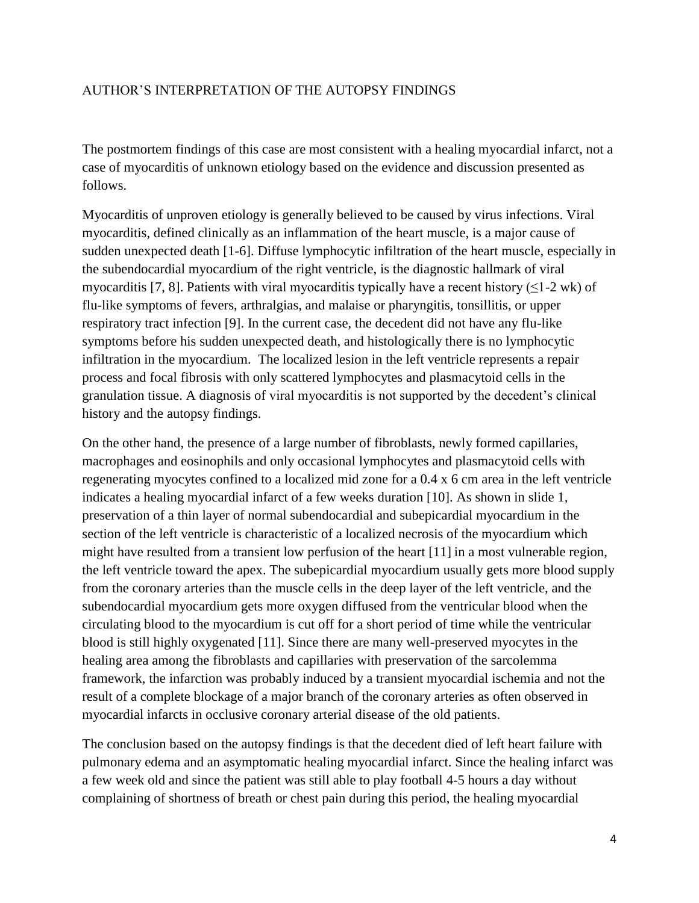#### AUTHOR'S INTERPRETATION OF THE AUTOPSY FINDINGS

The postmortem findings of this case are most consistent with a healing myocardial infarct, not a case of myocarditis of unknown etiology based on the evidence and discussion presented as follows.

Myocarditis of unproven etiology is generally believed to be caused by virus infections. Viral myocarditis, defined clinically as an inflammation of the heart muscle, is a major cause of sudden unexpected death [1-6]. Diffuse lymphocytic infiltration of the heart muscle, especially in the subendocardial myocardium of the right ventricle, is the diagnostic hallmark of viral myocarditis [7, 8]. Patients with viral myocarditis typically have a recent history ( $\leq$ 1-2 wk) of flu-like symptoms of fevers, arthralgias, and malaise or pharyngitis, tonsillitis, or upper respiratory tract infection [9]. In the current case, the decedent did not have any flu-like symptoms before his sudden unexpected death, and histologically there is no lymphocytic infiltration in the myocardium. The localized lesion in the left ventricle represents a repair process and focal fibrosis with only scattered lymphocytes and plasmacytoid cells in the granulation tissue. A diagnosis of viral myocarditis is not supported by the decedent's clinical history and the autopsy findings.

On the other hand, the presence of a large number of fibroblasts, newly formed capillaries, macrophages and eosinophils and only occasional lymphocytes and plasmacytoid cells with regenerating myocytes confined to a localized mid zone for a 0.4 x 6 cm area in the left ventricle indicates a healing myocardial infarct of a few weeks duration [10]. As shown in slide 1, preservation of a thin layer of normal subendocardial and subepicardial myocardium in the section of the left ventricle is characteristic of a localized necrosis of the myocardium which might have resulted from a transient low perfusion of the heart [11] in a most vulnerable region, the left ventricle toward the apex. The subepicardial myocardium usually gets more blood supply from the coronary arteries than the muscle cells in the deep layer of the left ventricle, and the subendocardial myocardium gets more oxygen diffused from the ventricular blood when the circulating blood to the myocardium is cut off for a short period of time while the ventricular blood is still highly oxygenated [11]. Since there are many well-preserved myocytes in the healing area among the fibroblasts and capillaries with preservation of the sarcolemma framework, the infarction was probably induced by a transient myocardial ischemia and not the result of a complete blockage of a major branch of the coronary arteries as often observed in myocardial infarcts in occlusive coronary arterial disease of the old patients.

The conclusion based on the autopsy findings is that the decedent died of left heart failure with pulmonary edema and an asymptomatic healing myocardial infarct. Since the healing infarct was a few week old and since the patient was still able to play football 4-5 hours a day without complaining of shortness of breath or chest pain during this period, the healing myocardial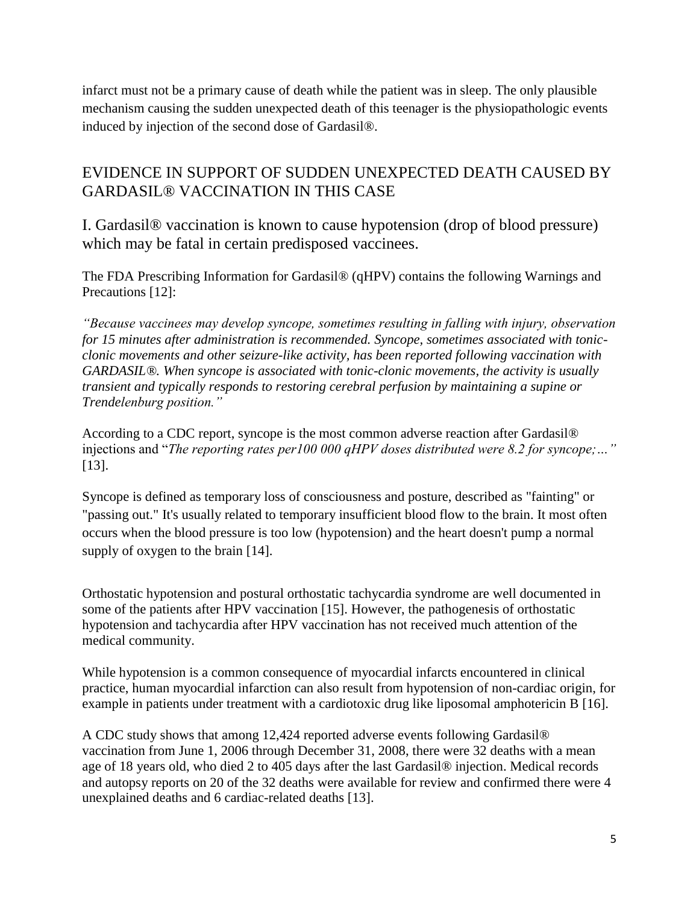infarct must not be a primary cause of death while the patient was in sleep. The only plausible mechanism causing the sudden unexpected death of this teenager is the physiopathologic events induced by injection of the second dose of Gardasil®.

# EVIDENCE IN SUPPORT OF SUDDEN UNEXPECTED DEATH CAUSED BY GARDASIL® VACCINATION IN THIS CASE

I. Gardasil® vaccination is known to cause hypotension (drop of blood pressure) which may be fatal in certain predisposed vaccinees.

The FDA Prescribing Information for Gardasil® (qHPV) contains the following Warnings and Precautions [12]:

*"Because vaccinees may develop syncope, sometimes resulting in falling with injury, observation for 15 minutes after administration is recommended. Syncope, sometimes associated with tonicclonic movements and other seizure-like activity, has been reported following vaccination with GARDASIL®. When syncope is associated with tonic-clonic movements, the activity is usually transient and typically responds to restoring cerebral perfusion by maintaining a supine or Trendelenburg position."* 

According to a CDC report, syncope is the most common adverse reaction after Gardasil® injections and "*The reporting rates per100 000 qHPV doses distributed were 8.2 for syncope;…"* [13].

Syncope is defined as temporary loss of consciousness and posture, described as "fainting" or "passing out." It's usually related to temporary insufficient blood flow to the brain. It most often occurs when the blood pressure is too low (hypotension) and the heart doesn't pump a normal supply of oxygen to the brain [14].

Orthostatic hypotension and postural orthostatic tachycardia syndrome are well documented in some of the patients after HPV vaccination [15]. However, the pathogenesis of orthostatic hypotension and tachycardia after HPV vaccination has not received much attention of the medical community.

While hypotension is a common consequence of myocardial infarcts encountered in clinical practice, human myocardial infarction can also result from hypotension of non-cardiac origin, for example in patients under treatment with a cardiotoxic drug like liposomal amphotericin B [16].

A CDC study shows that among 12,424 reported adverse events following Gardasil® vaccination from June 1, 2006 through December 31, 2008, there were 32 deaths with a mean age of 18 years old, who died 2 to 405 days after the last Gardasil® injection. Medical records and autopsy reports on 20 of the 32 deaths were available for review and confirmed there were 4 unexplained deaths and 6 cardiac-related deaths [13].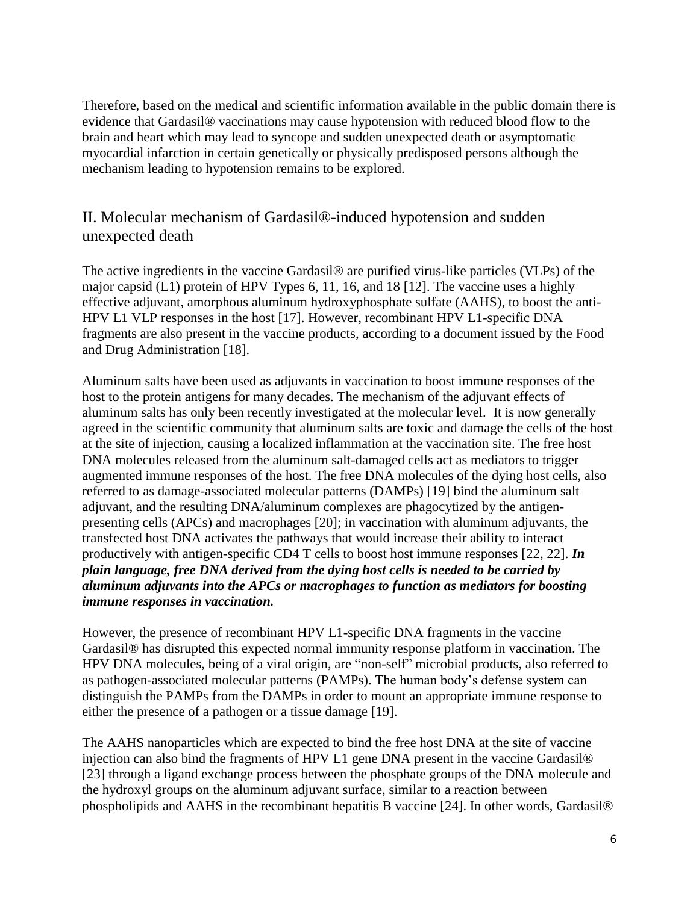Therefore, based on the medical and scientific information available in the public domain there is evidence that Gardasil® vaccinations may cause hypotension with reduced blood flow to the brain and heart which may lead to syncope and sudden unexpected death or asymptomatic myocardial infarction in certain genetically or physically predisposed persons although the mechanism leading to hypotension remains to be explored.

# II. Molecular mechanism of Gardasil®-induced hypotension and sudden unexpected death

The active ingredients in the vaccine Gardasil® are purified virus-like particles (VLPs) of the major capsid (L1) protein of HPV Types 6, 11, 16, and 18 [12]. The vaccine uses a highly effective adjuvant, amorphous aluminum hydroxyphosphate sulfate (AAHS), to boost the anti-HPV L1 VLP responses in the host [17]. However, recombinant HPV L1-specific DNA fragments are also present in the vaccine products, according to a document issued by the Food and Drug Administration [18].

Aluminum salts have been used as adjuvants in vaccination to boost immune responses of the host to the protein antigens for many decades. The mechanism of the adjuvant effects of aluminum salts has only been recently investigated at the molecular level. It is now generally agreed in the scientific community that aluminum salts are toxic and damage the cells of the host at the site of injection, causing a localized inflammation at the vaccination site. The free host DNA molecules released from the aluminum salt-damaged cells act as mediators to trigger augmented immune responses of the host. The free DNA molecules of the dying host cells, also referred to as damage-associated molecular patterns (DAMPs) [19] bind the aluminum salt adjuvant, and the resulting DNA/aluminum complexes are phagocytized by the antigenpresenting cells (APCs) and macrophages [20]; in vaccination with aluminum adjuvants, the transfected host DNA activates the pathways that would increase their ability to interact productively with antigen-specific CD4 T cells to boost host immune responses [22, 22]. *In plain language, free DNA derived from the dying host cells is needed to be carried by aluminum adjuvants into the APCs or macrophages to function as mediators for boosting immune responses in vaccination.*

However, the presence of recombinant HPV L1-specific DNA fragments in the vaccine Gardasil® has disrupted this expected normal immunity response platform in vaccination. The HPV DNA molecules, being of a viral origin, are "non-self" microbial products, also referred to as pathogen-associated molecular patterns (PAMPs). The human body's defense system can distinguish the PAMPs from the DAMPs in order to mount an appropriate immune response to either the presence of a pathogen or a tissue damage [19].

The AAHS nanoparticles which are expected to bind the free host DNA at the site of vaccine injection can also bind the fragments of HPV L1 gene DNA present in the vaccine Gardasil® [23] through a ligand exchange process between the phosphate groups of the DNA molecule and the hydroxyl groups on the aluminum adjuvant surface, similar to a reaction between phospholipids and AAHS in the recombinant hepatitis B vaccine [24]. In other words, Gardasil®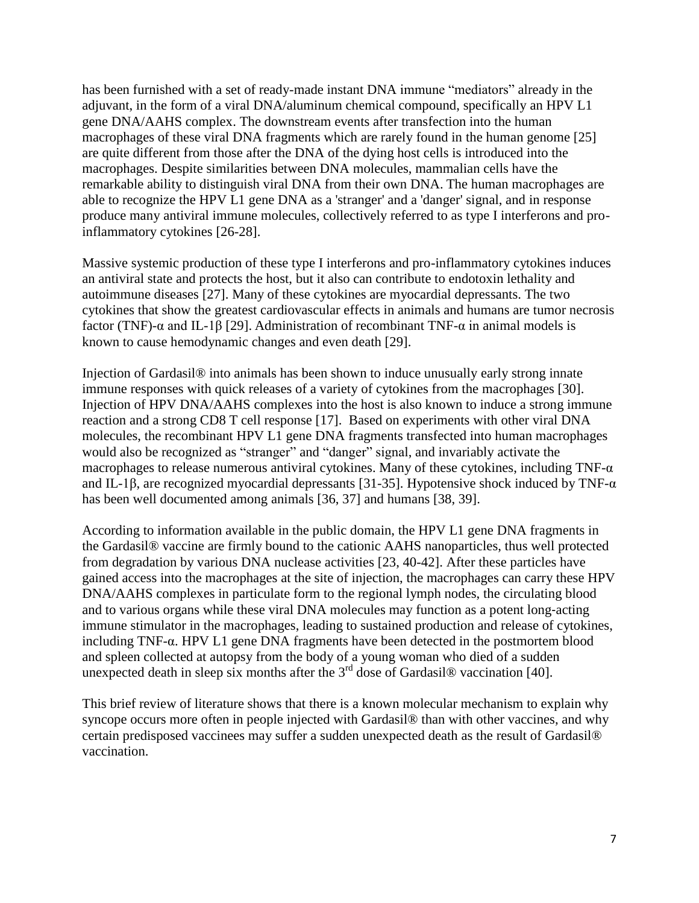has been furnished with a set of ready-made instant DNA immune "mediators" already in the adjuvant, in the form of a viral DNA/aluminum chemical compound, specifically an HPV L1 gene DNA/AAHS complex. The downstream events after transfection into the human macrophages of these viral DNA fragments which are rarely found in the human genome [25] are quite different from those after the DNA of the dying host cells is introduced into the macrophages. Despite similarities between DNA molecules, mammalian cells have the remarkable ability to distinguish viral DNA from their own DNA. The human macrophages are able to recognize the HPV L1 gene DNA as a 'stranger' and a 'danger' signal, and in response produce many antiviral immune molecules, collectively referred to as type I interferons and proinflammatory cytokines [26-28].

Massive systemic production of these type I interferons and pro-inflammatory cytokines induces an antiviral state and protects the host, but it also can contribute to endotoxin lethality and autoimmune diseases [27]. Many of these cytokines are myocardial depressants. The two cytokines that show the greatest cardiovascular effects in animals and humans are tumor necrosis factor (TNF)-α and IL-1β [29]. Administration of recombinant TNF-α in animal models is known to cause hemodynamic changes and even death [29].

Injection of Gardasil® into animals has been shown to induce unusually early strong innate immune responses with quick releases of a variety of cytokines from the macrophages [30]. Injection of HPV DNA/AAHS complexes into the host is also known to induce a strong immune reaction and a strong CD8 T cell response [17]. Based on experiments with other viral DNA molecules, the recombinant HPV L1 gene DNA fragments transfected into human macrophages would also be recognized as "stranger" and "danger" signal, and invariably activate the macrophages to release numerous antiviral cytokines. Many of these cytokines, including TNF-α and IL-1β, are recognized myocardial depressants [31-35]. Hypotensive shock induced by TNF- $\alpha$ has been well documented among animals [36, 37] and humans [38, 39].

According to information available in the public domain, the HPV L1 gene DNA fragments in the Gardasil® vaccine are firmly bound to the cationic AAHS nanoparticles, thus well protected from degradation by various DNA nuclease activities [23, 40-42]. After these particles have gained access into the macrophages at the site of injection, the macrophages can carry these HPV DNA/AAHS complexes in particulate form to the regional lymph nodes, the circulating blood and to various organs while these viral DNA molecules may function as a potent long‐acting immune stimulator in the macrophages, leading to sustained production and release of cytokines, including TNF-α. HPV L1 gene DNA fragments have been detected in the postmortem blood and spleen collected at autopsy from the body of a young woman who died of a sudden unexpected death in sleep six months after the  $3<sup>rd</sup>$  dose of Gardasil® vaccination [40].

This brief review of literature shows that there is a known molecular mechanism to explain why syncope occurs more often in people injected with Gardasil<sup>®</sup> than with other vaccines, and why certain predisposed vaccinees may suffer a sudden unexpected death as the result of Gardasil® vaccination.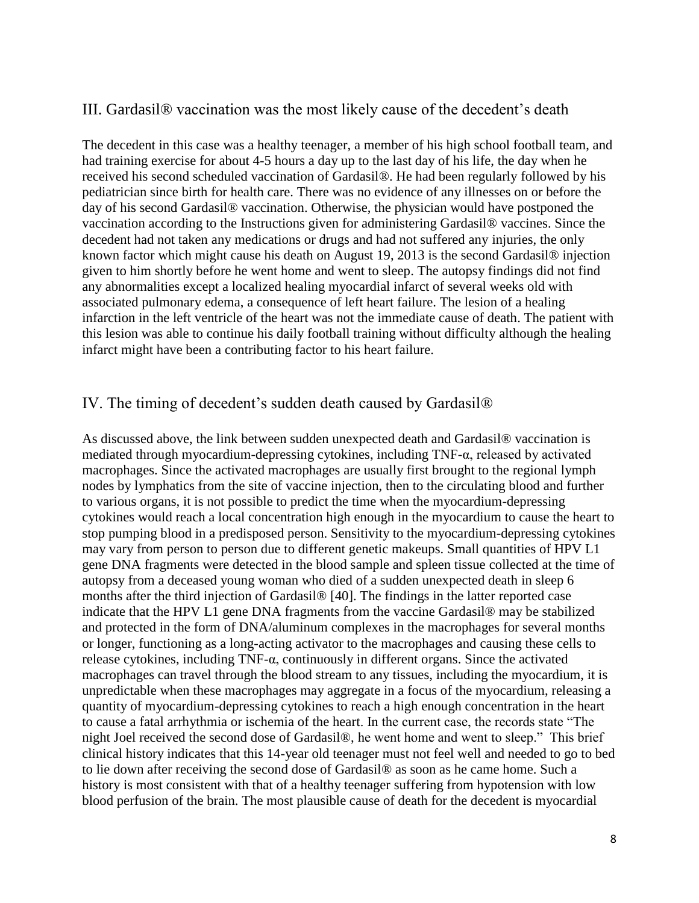### III. Gardasil® vaccination was the most likely cause of the decedent's death

The decedent in this case was a healthy teenager, a member of his high school football team, and had training exercise for about 4-5 hours a day up to the last day of his life, the day when he received his second scheduled vaccination of Gardasil®. He had been regularly followed by his pediatrician since birth for health care. There was no evidence of any illnesses on or before the day of his second Gardasil® vaccination. Otherwise, the physician would have postponed the vaccination according to the Instructions given for administering Gardasil® vaccines. Since the decedent had not taken any medications or drugs and had not suffered any injuries, the only known factor which might cause his death on August 19, 2013 is the second Gardasil® injection given to him shortly before he went home and went to sleep. The autopsy findings did not find any abnormalities except a localized healing myocardial infarct of several weeks old with associated pulmonary edema, a consequence of left heart failure. The lesion of a healing infarction in the left ventricle of the heart was not the immediate cause of death. The patient with this lesion was able to continue his daily football training without difficulty although the healing infarct might have been a contributing factor to his heart failure.

### IV. The timing of decedent's sudden death caused by Gardasil®

As discussed above, the link between sudden unexpected death and Gardasil® vaccination is mediated through myocardium-depressing cytokines, including TNF-α, released by activated macrophages. Since the activated macrophages are usually first brought to the regional lymph nodes by lymphatics from the site of vaccine injection, then to the circulating blood and further to various organs, it is not possible to predict the time when the myocardium-depressing cytokines would reach a local concentration high enough in the myocardium to cause the heart to stop pumping blood in a predisposed person. Sensitivity to the myocardium-depressing cytokines may vary from person to person due to different genetic makeups. Small quantities of HPV L1 gene DNA fragments were detected in the blood sample and spleen tissue collected at the time of autopsy from a deceased young woman who died of a sudden unexpected death in sleep 6 months after the third injection of Gardasil® [40]. The findings in the latter reported case indicate that the HPV L1 gene DNA fragments from the vaccine Gardasil® may be stabilized and protected in the form of DNA/aluminum complexes in the macrophages for several months or longer, functioning as a long-acting activator to the macrophages and causing these cells to release cytokines, including TNF-α, continuously in different organs. Since the activated macrophages can travel through the blood stream to any tissues, including the myocardium, it is unpredictable when these macrophages may aggregate in a focus of the myocardium, releasing a quantity of myocardium-depressing cytokines to reach a high enough concentration in the heart to cause a fatal arrhythmia or ischemia of the heart. In the current case, the records state "The night Joel received the second dose of Gardasil®, he went home and went to sleep." This brief clinical history indicates that this 14-year old teenager must not feel well and needed to go to bed to lie down after receiving the second dose of Gardasil® as soon as he came home. Such a history is most consistent with that of a healthy teenager suffering from hypotension with low blood perfusion of the brain. The most plausible cause of death for the decedent is myocardial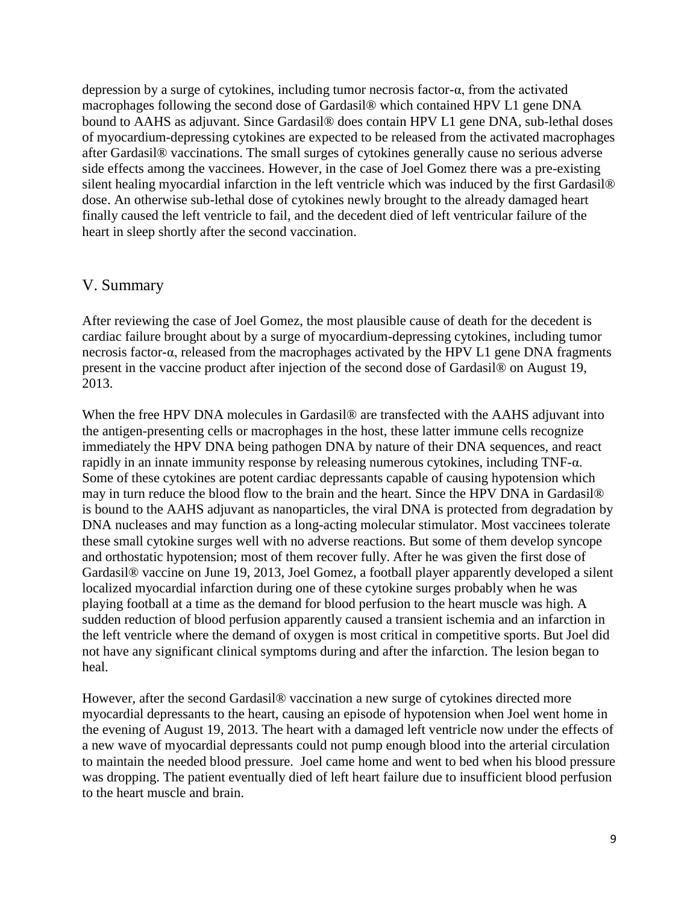depression by a surge of cytokines, including tumor necrosis factor-α, from the activated macrophages following the second dose of Gardasil® which contained HPV L1 gene DNA bound to AAHS as adjuvant. Since Gardasil® does contain HPV L1 gene DNA, sub-lethal doses of myocardium-depressing cytokines are expected to be released from the activated macrophages after Gardasil® vaccinations. The small surges of cytokines generally cause no serious adverse side effects among the vaccinees. However, in the case of Joel Gomez there was a pre-existing silent healing myocardial infarction in the left ventricle which was induced by the first Gardasil® dose. An otherwise sub-lethal dose of cytokines newly brought to the already damaged heart finally caused the left ventricle to fail, and the decedent died of left ventricular failure of the heart in sleep shortly after the second vaccination.

### V. Summary

After reviewing the case of Joel Gomez, the most plausible cause of death for the decedent is cardiac failure brought about by a surge of myocardium-depressing cytokines, including tumor necrosis factor-α, released from the macrophages activated by the HPV L1 gene DNA fragments present in the vaccine product after injection of the second dose of Gardasil® on August 19, 2013.

When the free HPV DNA molecules in Gardasil® are transfected with the AAHS adjuvant into the antigen-presenting cells or macrophages in the host, these latter immune cells recognize immediately the HPV DNA being pathogen DNA by nature of their DNA sequences, and react rapidly in an innate immunity response by releasing numerous cytokines, including TNF-α. Some of these cytokines are potent cardiac depressants capable of causing hypotension which may in turn reduce the blood flow to the brain and the heart. Since the HPV DNA in Gardasil® is bound to the AAHS adjuvant as nanoparticles, the viral DNA is protected from degradation by DNA nucleases and may function as a long-acting molecular stimulator. Most vaccinees tolerate these small cytokine surges well with no adverse reactions. But some of them develop syncope and orthostatic hypotension; most of them recover fully. After he was given the first dose of Gardasil® vaccine on June 19, 2013, Joel Gomez, a football player apparently developed a silent localized myocardial infarction during one of these cytokine surges probably when he was playing football at a time as the demand for blood perfusion to the heart muscle was high. A sudden reduction of blood perfusion apparently caused a transient ischemia and an infarction in the left ventricle where the demand of oxygen is most critical in competitive sports. But Joel did not have any significant clinical symptoms during and after the infarction. The lesion began to heal.

However, after the second Gardasil® vaccination a new surge of cytokines directed more myocardial depressants to the heart, causing an episode of hypotension when Joel went home in the evening of August 19, 2013. The heart with a damaged left ventricle now under the effects of a new wave of myocardial depressants could not pump enough blood into the arterial circulation to maintain the needed blood pressure. Joel came home and went to bed when his blood pressure was dropping. The patient eventually died of left heart failure due to insufficient blood perfusion to the heart muscle and brain.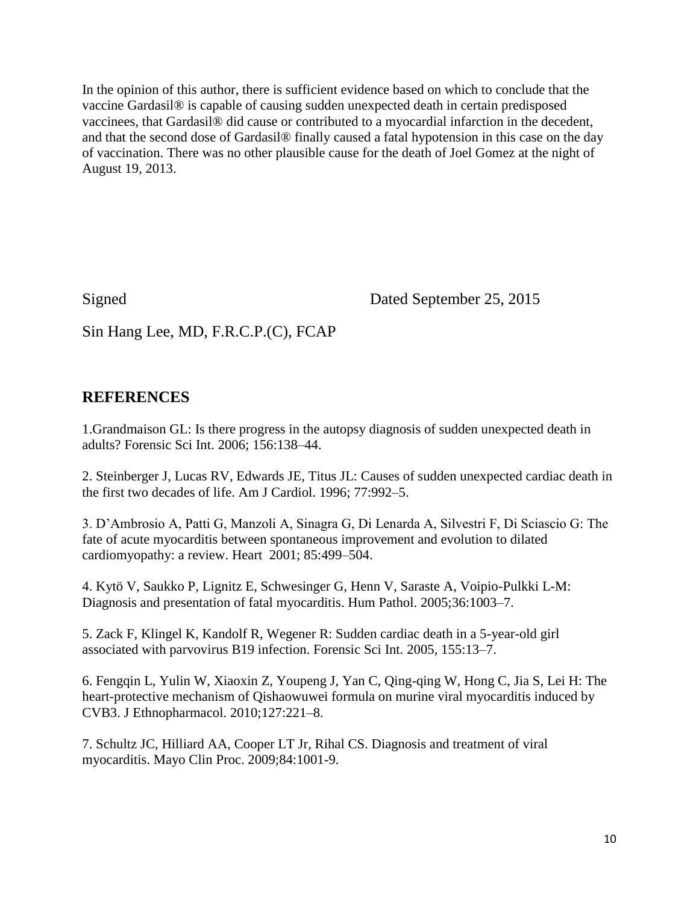In the opinion of this author, there is sufficient evidence based on which to conclude that the vaccine Gardasil® is capable of causing sudden unexpected death in certain predisposed vaccinees, that Gardasil® did cause or contributed to a myocardial infarction in the decedent, and that the second dose of Gardasil® finally caused a fatal hypotension in this case on the day of vaccination. There was no other plausible cause for the death of Joel Gomez at the night of August 19, 2013.

Signed Dated September 25, 2015

Sin Hang Lee, MD, F.R.C.P.(C), FCAP

# **REFERENCES**

1.Grandmaison GL: Is there progress in the autopsy diagnosis of sudden unexpected death in adults? Forensic Sci Int. 2006; 156:138–44.

2. Steinberger J, Lucas RV, Edwards JE, Titus JL: Causes of sudden unexpected cardiac death in the first two decades of life. Am J Cardiol. 1996; 77:992–5.

3. D'Ambrosio A, Patti G, Manzoli A, Sinagra G, Di Lenarda A, Silvestri F, Di Sciascio G: The fate of acute myocarditis between spontaneous improvement and evolution to dilated cardiomyopathy: a review. Heart 2001; 85:499–504.

4. Kytö V, Saukko P, Lignitz E, Schwesinger G, Henn V, Saraste A, Voipio-Pulkki L-M: Diagnosis and presentation of fatal myocarditis. Hum Pathol. 2005;36:1003–7.

5. Zack F, Klingel K, Kandolf R, Wegener R: Sudden cardiac death in a 5-year-old girl associated with parvovirus B19 infection. Forensic Sci Int. 2005, 155:13–7.

6. Fengqin L, Yulin W, Xiaoxin Z, Youpeng J, Yan C, Qing-qing W, Hong C, Jia S, Lei H: The heart-protective mechanism of Qishaowuwei formula on murine viral myocarditis induced by CVB3. J Ethnopharmacol. 2010;127:221–8.

7. Schultz JC, Hilliard AA, Cooper LT Jr, Rihal CS. Diagnosis and treatment of viral myocarditis. Mayo Clin Proc. 2009;84:1001-9.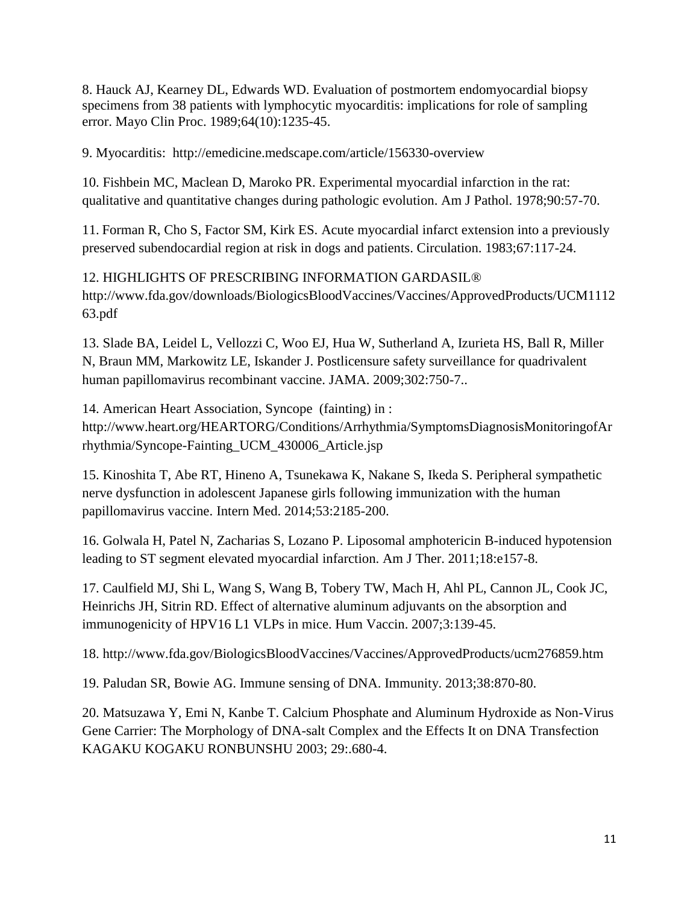8. Hauck AJ, Kearney DL, Edwards WD. Evaluation of postmortem endomyocardial biopsy specimens from 38 patients with lymphocytic myocarditis: implications for role of sampling error. Mayo Clin Proc. 1989;64(10):1235-45.

9. Myocarditis: <http://emedicine.medscape.com/article/156330-overview>

10. Fishbein MC, Maclean D, Maroko PR. Experimental myocardial infarction in the rat: qualitative and quantitative changes during pathologic evolution. Am J Pathol. 1978;90:57-70.

11. Forman R, Cho S, Factor SM, Kirk ES. Acute myocardial infarct extension into a previously preserved subendocardial region at risk in dogs and patients. Circulation. 1983;67:117-24.

12. HIGHLIGHTS OF PRESCRIBING INFORMATION GARDASIL® [http://www.fda.gov/downloads/BiologicsBloodVaccines/Vaccines/ApprovedProducts/UCM1112](http://www.fda.gov/downloads/BiologicsBloodVaccines/Vaccines/ApprovedProducts/UCM111263.pdf) [63.pdf](http://www.fda.gov/downloads/BiologicsBloodVaccines/Vaccines/ApprovedProducts/UCM111263.pdf)

13. Slade BA, Leidel L, Vellozzi C, Woo EJ, Hua W, Sutherland A, Izurieta HS, Ball R, Miller N, Braun MM, Markowitz LE, Iskander J. Postlicensure safety surveillance for quadrivalent human papillomavirus recombinant vaccine. JAMA. 2009;302:750-7..

14. American Heart Association, Syncope (fainting) in : [http://www.heart.org/HEARTORG/Conditions/Arrhythmia/SymptomsDiagnosisMonitoringofAr](http://www.heart.org/HEARTORG/Conditions/Arrhythmia/SymptomsDiagnosisMonitoringofArrhythmia/Syncope-Fainting_UCM_430006_Article.jsp) [rhythmia/Syncope-Fainting\\_UCM\\_430006\\_Article.jsp](http://www.heart.org/HEARTORG/Conditions/Arrhythmia/SymptomsDiagnosisMonitoringofArrhythmia/Syncope-Fainting_UCM_430006_Article.jsp)

15. Kinoshita T, Abe RT, Hineno A, Tsunekawa K, Nakane S, Ikeda S. Peripheral sympathetic nerve dysfunction in adolescent Japanese girls following immunization with the human papillomavirus vaccine. Intern Med. 2014;53:2185-200.

16. Golwala H, Patel N, Zacharias S, Lozano P. Liposomal amphotericin B-induced hypotension leading to ST segment elevated myocardial infarction. Am J Ther. 2011;18:e157-8.

17. Caulfield MJ, Shi L, Wang S, Wang B, Tobery TW, Mach H, Ahl PL, Cannon JL, Cook JC, Heinrichs JH, Sitrin RD. Effect of alternative aluminum adjuvants on the absorption and immunogenicity of HPV16 L1 VLPs in mice. Hum Vaccin. 2007;3:139-45.

18.<http://www.fda.gov/BiologicsBloodVaccines/Vaccines/ApprovedProducts/ucm276859.htm>

19. Paludan SR, Bowie AG. Immune sensing of DNA. Immunity. 2013;38:870-80.

20. Matsuzawa Y, Emi N, Kanbe T. Calcium Phosphate and Aluminum Hydroxide as Non-Virus Gene Carrier: The Morphology of DNA-salt Complex and the Effects It on DNA Transfection KAGAKU KOGAKU RONBUNSHU 2003; 29:.680-4.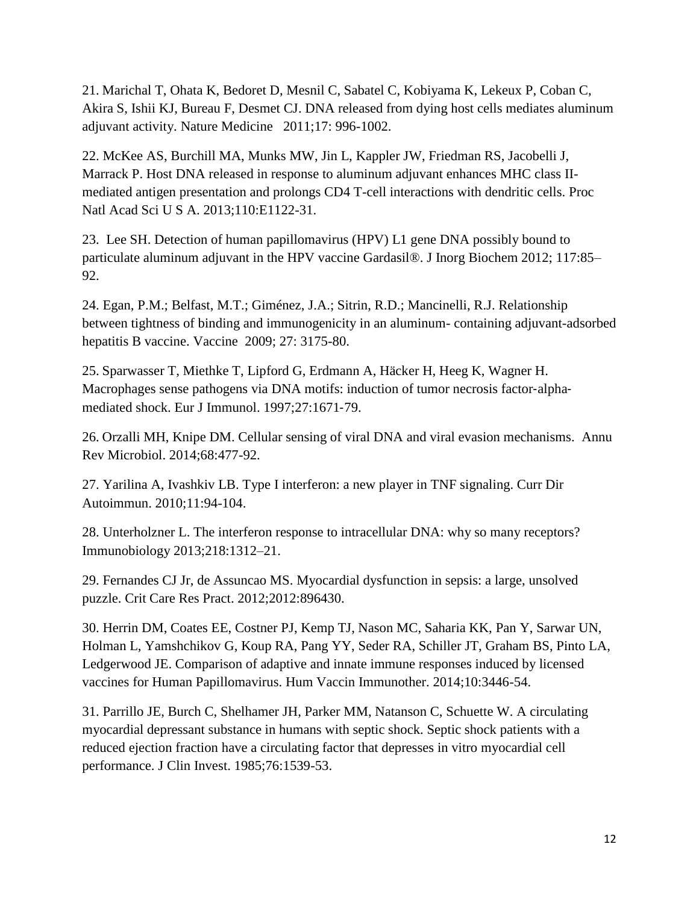21. Marichal T, Ohata K, Bedoret D, Mesnil C, Sabatel C, Kobiyama K, Lekeux P, Coban C, Akira S, Ishii KJ, Bureau F, Desmet CJ. DNA released from dying host cells mediates aluminum adjuvant activity. Nature Medicine 2011;17: 996-1002.

22. McKee AS, Burchill MA, Munks MW, Jin L, Kappler JW, Friedman RS, Jacobelli J, Marrack P. Host DNA released in response to aluminum adjuvant enhances MHC class IImediated antigen presentation and prolongs CD4 T-cell interactions with dendritic cells. Proc Natl Acad Sci U S A. 2013;110:E1122-31.

23. Lee SH. Detection of human papillomavirus (HPV) L1 gene DNA possibly bound to particulate aluminum adjuvant in the HPV vaccine Gardasil®. J Inorg Biochem 2012; 117:85– 92.

24. Egan, P.M.; Belfast, M.T.; Giménez, J.A.; Sitrin, R.D.; Mancinelli, R.J. Relationship between tightness of binding and immunogenicity in an aluminum- containing adjuvant-adsorbed hepatitis B vaccine. Vaccine 2009; 27: 3175-80.

25. Sparwasser T, Miethke T, Lipford G, Erdmann A, Häcker H, Heeg K, Wagner H. Macrophages sense pathogens via DNA motifs: induction of tumor necrosis factor-alphamediated shock. Eur J Immunol. 1997;27:1671‐79.

26. Orzalli MH, Knipe DM. Cellular sensing of viral DNA and viral evasion mechanisms. Annu Rev Microbiol. 2014;68:477-92.

27. Yarilina A, Ivashkiv LB. Type I interferon: a new player in TNF signaling. Curr Dir Autoimmun. 2010;11:94-104.

28. Unterholzner L. The interferon response to intracellular DNA: why so many receptors? Immunobiology 2013;218:1312–21.

29. Fernandes CJ Jr, de Assuncao MS. Myocardial dysfunction in sepsis: a large, unsolved puzzle. Crit Care Res Pract. 2012;2012:896430.

30. Herrin DM, Coates EE, Costner PJ, Kemp TJ, Nason MC, Saharia KK, Pan Y, Sarwar UN, Holman L, Yamshchikov G, Koup RA, Pang YY, Seder RA, Schiller JT, Graham BS, Pinto LA, Ledgerwood JE. Comparison of adaptive and innate immune responses induced by licensed vaccines for Human Papillomavirus. Hum Vaccin Immunother. 2014;10:3446-54.

31. Parrillo JE, Burch C, Shelhamer JH, Parker MM, Natanson C, Schuette W. A circulating myocardial depressant substance in humans with septic shock. Septic shock patients with a reduced ejection fraction have a circulating factor that depresses in vitro myocardial cell performance. J Clin Invest. 1985;76:1539-53.